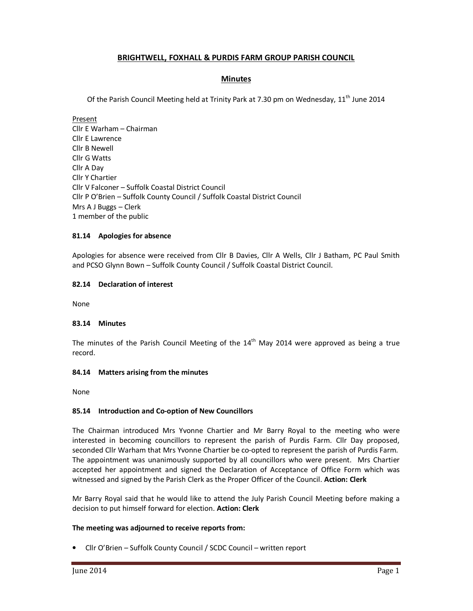# **BRIGHTWELL, FOXHALL & PURDIS FARM GROUP PARISH COUNCIL**

## **Minutes**

Of the Parish Council Meeting held at Trinity Park at 7.30 pm on Wednesday, 11<sup>th</sup> June 2014

Present Cllr E Warham – Chairman Cllr E Lawrence Cllr B Newell Cllr G Watts Cllr A Day Cllr Y Chartier Cllr V Falconer – Suffolk Coastal District Council Cllr P O'Brien – Suffolk County Council / Suffolk Coastal District Council Mrs A J Buggs – Clerk 1 member of the public

### **81.14 Apologies for absence**

Apologies for absence were received from Cllr B Davies, Cllr A Wells, Cllr J Batham, PC Paul Smith and PCSO Glynn Bown – Suffolk County Council / Suffolk Coastal District Council.

### **82.14 Declaration of interest**

None

#### **83.14 Minutes**

The minutes of the Parish Council Meeting of the  $14<sup>th</sup>$  May 2014 were approved as being a true record.

#### **84.14 Matters arising from the minutes**

None

## **85.14 Introduction and Co-option of New Councillors**

The Chairman introduced Mrs Yvonne Chartier and Mr Barry Royal to the meeting who were interested in becoming councillors to represent the parish of Purdis Farm. Cllr Day proposed, seconded Cllr Warham that Mrs Yvonne Chartier be co-opted to represent the parish of Purdis Farm. The appointment was unanimously supported by all councillors who were present. Mrs Chartier accepted her appointment and signed the Declaration of Acceptance of Office Form which was witnessed and signed by the Parish Clerk as the Proper Officer of the Council. **Action: Clerk** 

Mr Barry Royal said that he would like to attend the July Parish Council Meeting before making a decision to put himself forward for election. **Action: Clerk** 

## **The meeting was adjourned to receive reports from:**

• Cllr O'Brien – Suffolk County Council / SCDC Council – written report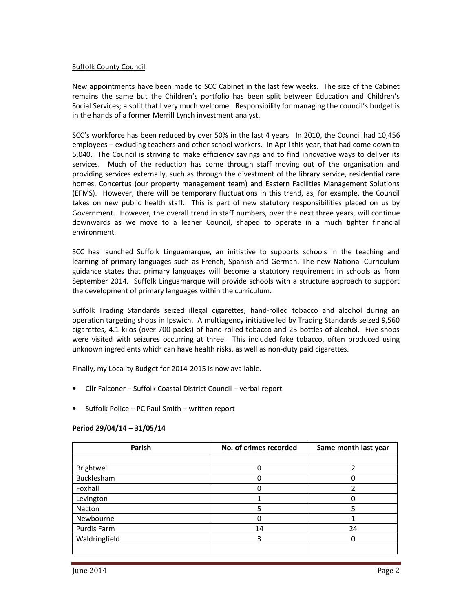#### Suffolk County Council

New appointments have been made to SCC Cabinet in the last few weeks. The size of the Cabinet remains the same but the Children's portfolio has been split between Education and Children's Social Services; a split that I very much welcome. Responsibility for managing the council's budget is in the hands of a former Merrill Lynch investment analyst.

SCC's workforce has been reduced by over 50% in the last 4 years. In 2010, the Council had 10,456 employees – excluding teachers and other school workers. In April this year, that had come down to 5,040. The Council is striving to make efficiency savings and to find innovative ways to deliver its services. Much of the reduction has come through staff moving out of the organisation and providing services externally, such as through the divestment of the library service, residential care homes, Concertus (our property management team) and Eastern Facilities Management Solutions (EFMS). However, there will be temporary fluctuations in this trend, as, for example, the Council takes on new public health staff. This is part of new statutory responsibilities placed on us by Government. However, the overall trend in staff numbers, over the next three years, will continue downwards as we move to a leaner Council, shaped to operate in a much tighter financial environment.

SCC has launched Suffolk Linguamarque, an initiative to supports schools in the teaching and learning of primary languages such as French, Spanish and German. The new National Curriculum guidance states that primary languages will become a statutory requirement in schools as from September 2014. Suffolk Linguamarque will provide schools with a structure approach to support the development of primary languages within the curriculum.

Suffolk Trading Standards seized illegal cigarettes, hand-rolled tobacco and alcohol during an operation targeting shops in Ipswich. A multiagency initiative led by Trading Standards seized 9,560 cigarettes, 4.1 kilos (over 700 packs) of hand-rolled tobacco and 25 bottles of alcohol. Five shops were visited with seizures occurring at three. This included fake tobacco, often produced using unknown ingredients which can have health risks, as well as non-duty paid cigarettes.

Finally, my Locality Budget for 2014-2015 is now available.

- Cllr Falconer Suffolk Coastal District Council verbal report
- Suffolk Police PC Paul Smith written report

| Parish        | No. of crimes recorded | Same month last year |
|---------------|------------------------|----------------------|
|               |                        |                      |
| Brightwell    |                        |                      |
| Bucklesham    |                        |                      |
| Foxhall       |                        |                      |
| Levington     |                        | 0                    |
| Nacton        |                        |                      |
| Newbourne     |                        |                      |
| Purdis Farm   | 14                     | 24                   |
| Waldringfield | 3                      |                      |
|               |                        |                      |

## **Period 29/04/14 – 31/05/14**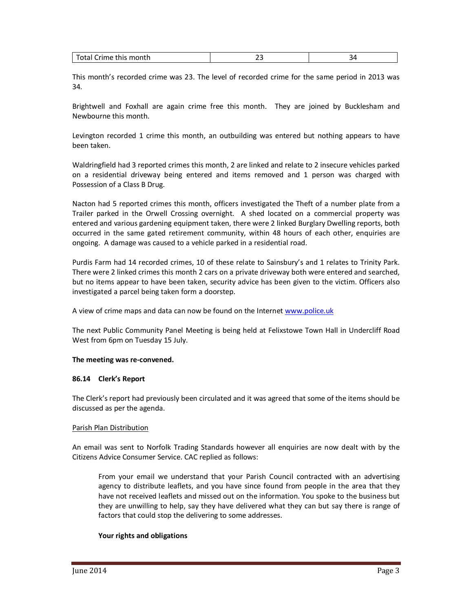| -<br>$\sim$          |                    |  |
|----------------------|--------------------|--|
| υιαι<br>--<br>$\sim$ | u Crime this month |  |

This month's recorded crime was 23. The level of recorded crime for the same period in 2013 was 34.

Brightwell and Foxhall are again crime free this month. They are joined by Bucklesham and Newbourne this month.

Levington recorded 1 crime this month, an outbuilding was entered but nothing appears to have been taken.

Waldringfield had 3 reported crimes this month, 2 are linked and relate to 2 insecure vehicles parked on a residential driveway being entered and items removed and 1 person was charged with Possession of a Class B Drug.

Nacton had 5 reported crimes this month, officers investigated the Theft of a number plate from a Trailer parked in the Orwell Crossing overnight. A shed located on a commercial property was entered and various gardening equipment taken, there were 2 linked Burglary Dwelling reports, both occurred in the same gated retirement community, within 48 hours of each other, enquiries are ongoing. A damage was caused to a vehicle parked in a residential road.

Purdis Farm had 14 recorded crimes, 10 of these relate to Sainsbury's and 1 relates to Trinity Park. There were 2 linked crimes this month 2 cars on a private driveway both were entered and searched, but no items appear to have been taken, security advice has been given to the victim. Officers also investigated a parcel being taken form a doorstep.

A view of crime maps and data can now be found on the Internet www.police.uk

The next Public Community Panel Meeting is being held at Felixstowe Town Hall in Undercliff Road West from 6pm on Tuesday 15 July.

#### **The meeting was re-convened.**

#### **86.14 Clerk's Report**

The Clerk's report had previously been circulated and it was agreed that some of the items should be discussed as per the agenda.

#### Parish Plan Distribution

An email was sent to Norfolk Trading Standards however all enquiries are now dealt with by the Citizens Advice Consumer Service. CAC replied as follows:

From your email we understand that your Parish Council contracted with an advertising agency to distribute leaflets, and you have since found from people in the area that they have not received leaflets and missed out on the information. You spoke to the business but they are unwilling to help, say they have delivered what they can but say there is range of factors that could stop the delivering to some addresses.

#### **Your rights and obligations**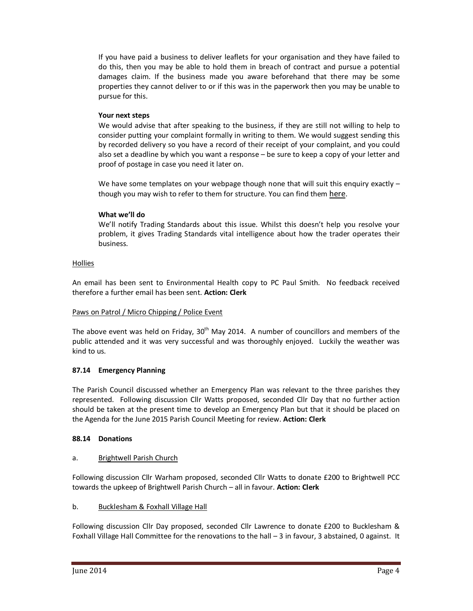If you have paid a business to deliver leaflets for your organisation and they have failed to do this, then you may be able to hold them in breach of contract and pursue a potential damages claim. If the business made you aware beforehand that there may be some properties they cannot deliver to or if this was in the paperwork then you may be unable to pursue for this.

## **Your next steps**

We would advise that after speaking to the business, if they are still not willing to help to consider putting your complaint formally in writing to them. We would suggest sending this by recorded delivery so you have a record of their receipt of your complaint, and you could also set a deadline by which you want a response – be sure to keep a copy of your letter and proof of postage in case you need it later on.

We have some templates on your webpage though none that will suit this enquiry exactly though you may wish to refer to them for structure. You can find them here.

# **What we'll do**

We'll notify Trading Standards about this issue. Whilst this doesn't help you resolve your problem, it gives Trading Standards vital intelligence about how the trader operates their business.

# Hollies

An email has been sent to Environmental Health copy to PC Paul Smith. No feedback received therefore a further email has been sent. **Action: Clerk** 

## Paws on Patrol / Micro Chipping / Police Event

The above event was held on Friday,  $30<sup>th</sup>$  May 2014. A number of councillors and members of the public attended and it was very successful and was thoroughly enjoyed. Luckily the weather was kind to us.

## **87.14 Emergency Planning**

The Parish Council discussed whether an Emergency Plan was relevant to the three parishes they represented. Following discussion Cllr Watts proposed, seconded Cllr Day that no further action should be taken at the present time to develop an Emergency Plan but that it should be placed on the Agenda for the June 2015 Parish Council Meeting for review. **Action: Clerk** 

## **88.14 Donations**

## a. Brightwell Parish Church

Following discussion Cllr Warham proposed, seconded Cllr Watts to donate £200 to Brightwell PCC towards the upkeep of Brightwell Parish Church – all in favour. **Action: Clerk** 

## b. Bucklesham & Foxhall Village Hall

Following discussion Cllr Day proposed, seconded Cllr Lawrence to donate £200 to Bucklesham & Foxhall Village Hall Committee for the renovations to the hall – 3 in favour, 3 abstained, 0 against. It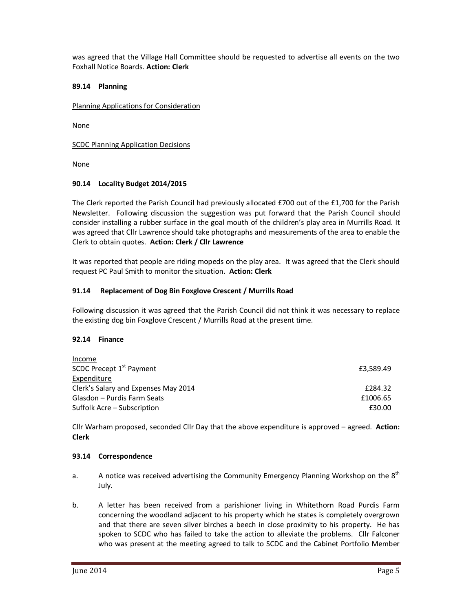was agreed that the Village Hall Committee should be requested to advertise all events on the two Foxhall Notice Boards. **Action: Clerk** 

### **89.14 Planning**

Planning Applications for Consideration

None

SCDC Planning Application Decisions

None

### **90.14 Locality Budget 2014/2015**

The Clerk reported the Parish Council had previously allocated £700 out of the £1,700 for the Parish Newsletter. Following discussion the suggestion was put forward that the Parish Council should consider installing a rubber surface in the goal mouth of the children's play area in Murrills Road. It was agreed that Cllr Lawrence should take photographs and measurements of the area to enable the Clerk to obtain quotes. **Action: Clerk / Cllr Lawrence** 

It was reported that people are riding mopeds on the play area. It was agreed that the Clerk should request PC Paul Smith to monitor the situation. **Action: Clerk** 

### **91.14 Replacement of Dog Bin Foxglove Crescent / Murrills Road**

Following discussion it was agreed that the Parish Council did not think it was necessary to replace the existing dog bin Foxglove Crescent / Murrills Road at the present time.

## **92.14 Finance**

| Income                               |           |
|--------------------------------------|-----------|
| SCDC Precept 1 <sup>st</sup> Payment | £3,589.49 |
| Expenditure                          |           |
| Clerk's Salary and Expenses May 2014 | £284.32   |
| Glasdon – Purdis Farm Seats          | £1006.65  |
| Suffolk Acre – Subscription          | £30.00    |

Cllr Warham proposed, seconded Cllr Day that the above expenditure is approved – agreed. **Action: Clerk** 

#### **93.14 Correspondence**

- a. A notice was received advertising the Community Emergency Planning Workshop on the  $8<sup>th</sup>$ July.
- b. A letter has been received from a parishioner living in Whitethorn Road Purdis Farm concerning the woodland adjacent to his property which he states is completely overgrown and that there are seven silver birches a beech in close proximity to his property. He has spoken to SCDC who has failed to take the action to alleviate the problems. Cllr Falconer who was present at the meeting agreed to talk to SCDC and the Cabinet Portfolio Member